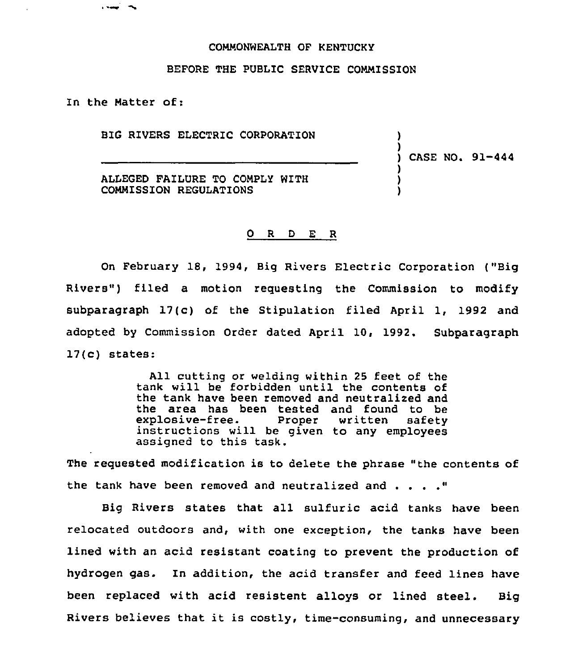## COMMONWEALTH OF KENTUCKY

## BEFORE THE PUBLIC SERVICE COMMISSION

In the Matter of:

BIG RIVERS ELECTRIC CORPORATION

) ) CASE NO. 91-444

)

) ) )

ALIEGED FAILURE TO COMPLY WITH COMMISSION REGULATIONS

## 0 <sup>R</sup> <sup>D</sup> E <sup>R</sup>

On February 18, 1994, Big Rivers Electric Corporation ("Big Rivers") filed a motion requesting the Commission to modify subparagraph 17(c) of the Stipulation filed April 1, 1992 and adopted by Commission Order dated April 10, 1992. Subparagraph 17(c) states:

> All cutting or welding within 25 feet of the tank will be forbidden until the contents of the tank have been removed and neutralized and<br>the area has been tested and found to be explosive-free. Proper written safety<br>instructions will be given to any employees assigned to this task.

The requested modification is to delete the phrase "the contents of the tank have been removed and neutralized and . . . . "

Big Rivers states that all sulfuric acid tanks have been relocated outdoors and, with one exception, the tanks have been lined with an acid resistant coating to prevent the production of hydrogen gas. In addition, the acid transfer and feed lines have been replaced with acid resistent alloys or lined steel. Big Rivers believes that it is costly, time-consuming, and unnecessary